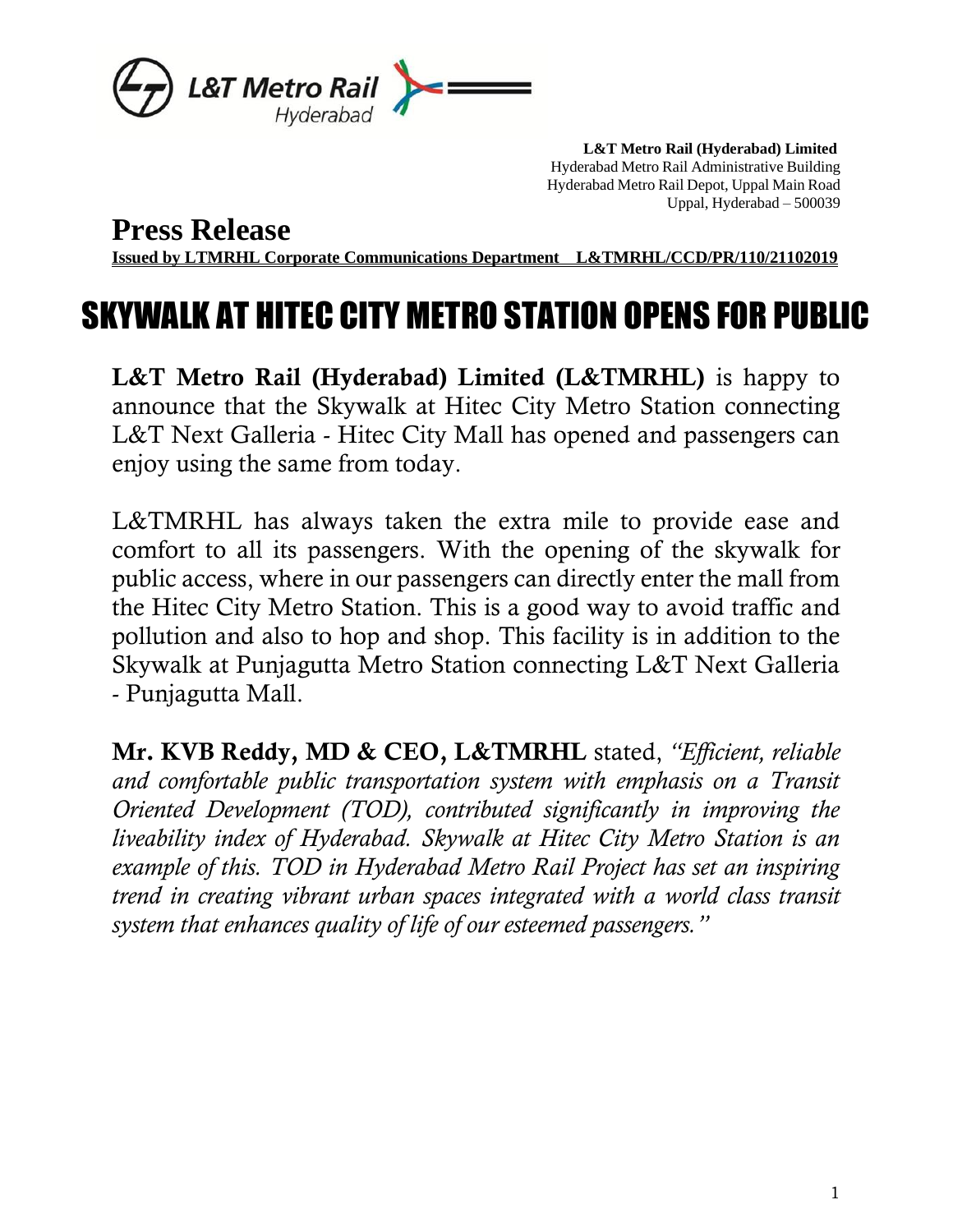

 **L&T Metro Rail (Hyderabad) Limited** Hyderabad Metro Rail Administrative Building Hyderabad Metro Rail Depot, Uppal Main Road Uppal, Hyderabad – 500039

## **Press Release**

**Issued by LTMRHL Corporate Communications Department L&TMRHL/CCD/PR/110/21102019**

## SKYWALK AT HITEC CITY METRO STATION OPENS FOR PUBLIC

L&T Metro Rail (Hyderabad) Limited (L&TMRHL) is happy to announce that the Skywalk at Hitec City Metro Station connecting L&T Next Galleria - Hitec City Mall has opened and passengers can enjoy using the same from today.

L&TMRHL has always taken the extra mile to provide ease and comfort to all its passengers. With the opening of the skywalk for public access, where in our passengers can directly enter the mall from the Hitec City Metro Station. This is a good way to avoid traffic and pollution and also to hop and shop. This facility is in addition to the Skywalk at Punjagutta Metro Station connecting L&T Next Galleria - Punjagutta Mall.

Mr. KVB Reddy, MD & CEO, L&TMRHL stated, *"Efficient, reliable and comfortable public transportation system with emphasis on a Transit Oriented Development (TOD), contributed significantly in improving the liveability index of Hyderabad. Skywalk at Hitec City Metro Station is an example of this. TOD in Hyderabad Metro Rail Project has set an inspiring trend in creating vibrant urban spaces integrated with a world class transit system that enhances quality of life of our esteemed passengers."*